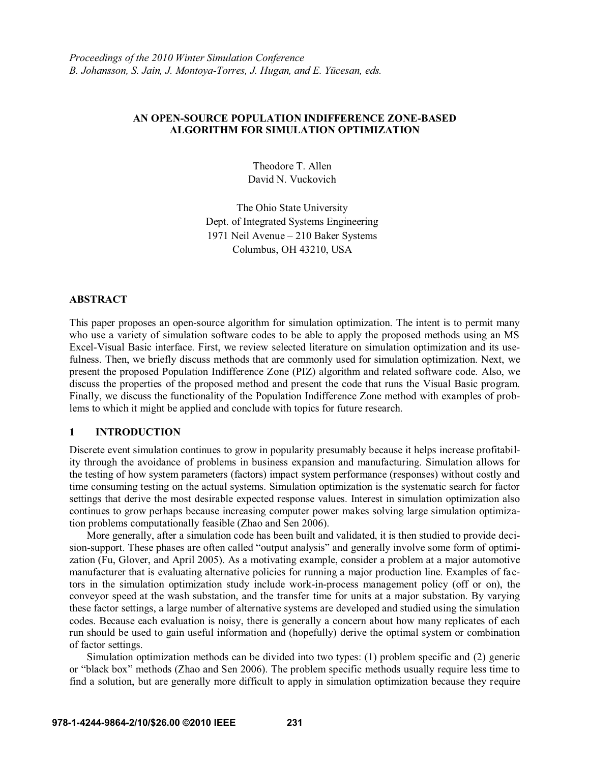# **AN OPEN-SOURCE POPULATION INDIFFERENCE ZONE-BASED ALGORITHM FOR SIMULATION OPTIMIZATION**

Theodore T. Allen David N. Vuckovich

The Ohio State University Dept. of Integrated Systems Engineering 1971 Neil Avenue - 210 Baker Systems Columbus, OH 43210, USA

## **ABSTRACT**

This paper proposes an open-source algorithm for simulation optimization. The intent is to permit many who use a variety of simulation software codes to be able to apply the proposed methods using an MS Excel-Visual Basic interface. First, we review selected literature on simulation optimization and its usefulness. Then, we briefly discuss methods that are commonly used for simulation optimization. Next, we present the proposed Population Indifference Zone (PIZ) algorithm and related software code. Also, we discuss the properties of the proposed method and present the code that runs the Visual Basic program. Finally, we discuss the functionality of the Population Indifference Zone method with examples of problems to which it might be applied and conclude with topics for future research.

#### **1 INTRODUCTION**

Discrete event simulation continues to grow in popularity presumably because it helps increase profitability through the avoidance of problems in business expansion and manufacturing. Simulation allows for the testing of how system parameters (factors) impact system performance (responses) without costly and time consuming testing on the actual systems. Simulation optimization is the systematic search for factor settings that derive the most desirable expected response values. Interest in simulation optimization also continues to grow perhaps because increasing computer power makes solving large simulation optimization problems computationally feasible (Zhao and Sen 2006).

 More generally, after a simulation code has been built and validated, it is then studied to provide decision-support. These phases are often called "output analysis" and generally involve some form of optimization (Fu, Glover, and April 2005). As a motivating example, consider a problem at a major automotive manufacturer that is evaluating alternative policies for running a major production line. Examples of factors in the simulation optimization study include work-in-process management policy (off or on), the conveyor speed at the wash substation, and the transfer time for units at a major substation. By varying these factor settings, a large number of alternative systems are developed and studied using the simulation codes. Because each evaluation is noisy, there is generally a concern about how many replicates of each run should be used to gain useful information and (hopefully) derive the optimal system or combination of factor settings.

 Simulation optimization methods can be divided into two types: (1) problem specific and (2) generic or "black box" methods (Zhao and Sen 2006). The problem specific methods usually require less time to find a solution, but are generally more difficult to apply in simulation optimization because they require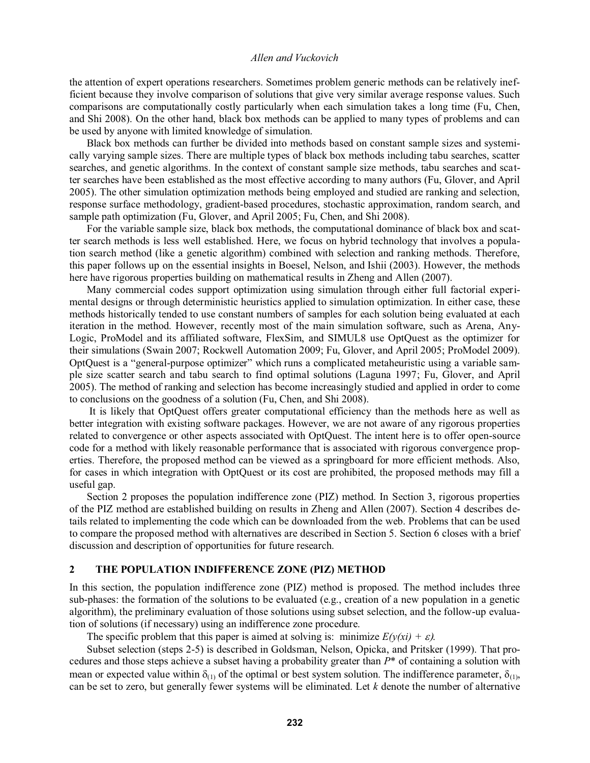the attention of expert operations researchers. Sometimes problem generic methods can be relatively inefficient because they involve comparison of solutions that give very similar average response values. Such comparisons are computationally costly particularly when each simulation takes a long time (Fu, Chen, and Shi 2008). On the other hand, black box methods can be applied to many types of problems and can be used by anyone with limited knowledge of simulation.

 Black box methods can further be divided into methods based on constant sample sizes and systemically varying sample sizes. There are multiple types of black box methods including tabu searches, scatter searches, and genetic algorithms. In the context of constant sample size methods, tabu searches and scatter searches have been established as the most effective according to many authors (Fu, Glover, and April 2005). The other simulation optimization methods being employed and studied are ranking and selection, response surface methodology, gradient-based procedures, stochastic approximation, random search, and sample path optimization (Fu, Glover, and April 2005; Fu, Chen, and Shi 2008).

 For the variable sample size, black box methods, the computational dominance of black box and scatter search methods is less well established. Here, we focus on hybrid technology that involves a population search method (like a genetic algorithm) combined with selection and ranking methods. Therefore, this paper follows up on the essential insights in Boesel, Nelson, and Ishii (2003). However, the methods here have rigorous properties building on mathematical results in Zheng and Allen (2007).

 Many commercial codes support optimization using simulation through either full factorial experimental designs or through deterministic heuristics applied to simulation optimization. In either case, these methods historically tended to use constant numbers of samples for each solution being evaluated at each iteration in the method. However, recently most of the main simulation software, such as Arena, Any-Logic, ProModel and its affiliated software, FlexSim, and SIMUL8 use OptQuest as the optimizer for their simulations (Swain 2007; Rockwell Automation 2009; Fu, Glover, and April 2005; ProModel 2009). OptQuest is a "general-purpose optimizer" which runs a complicated metaheuristic using a variable sample size scatter search and tabu search to find optimal solutions (Laguna 1997; Fu, Glover, and April 2005). The method of ranking and selection has become increasingly studied and applied in order to come to conclusions on the goodness of a solution (Fu, Chen, and Shi 2008).

 It is likely that OptQuest offers greater computational efficiency than the methods here as well as better integration with existing software packages. However, we are not aware of any rigorous properties related to convergence or other aspects associated with OptQuest. The intent here is to offer open-source code for a method with likely reasonable performance that is associated with rigorous convergence properties. Therefore, the proposed method can be viewed as a springboard for more efficient methods. Also, for cases in which integration with OptQuest or its cost are prohibited, the proposed methods may fill a useful gap.

Section 2 proposes the population indifference zone (PIZ) method. In Section 3, rigorous properties of the PIZ method are established building on results in Zheng and Allen (2007). Section 4 describes details related to implementing the code which can be downloaded from the web. Problems that can be used to compare the proposed method with alternatives are described in Section 5. Section 6 closes with a brief discussion and description of opportunities for future research.

# **2 THE POPULATION INDIFFERENCE ZONE (PIZ) METHOD**

In this section, the population indifference zone (PIZ) method is proposed. The method includes three sub-phases: the formation of the solutions to be evaluated (e.g., creation of a new population in a genetic algorithm), the preliminary evaluation of those solutions using subset selection, and the follow-up evaluation of solutions (if necessary) using an indifference zone procedure.

The specific problem that this paper is aimed at solving is: minimize  $E(y(xi) + \varepsilon)$ .

 Subset selection (steps 2-5) is described in Goldsman, Nelson, Opicka, and Pritsker (1999). That procedures and those steps achieve a subset having a probability greater than *P*\* of containing a solution with mean or expected value within  $\delta_{(1)}$  of the optimal or best system solution. The indifference parameter,  $\delta_{(1)}$ , can be set to zero, but generally fewer systems will be eliminated. Let *k* denote the number of alternative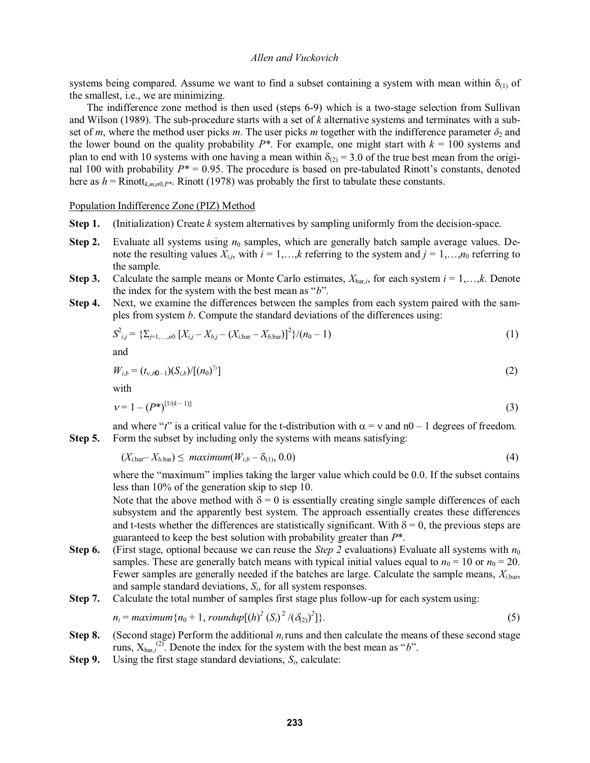systems being compared. Assume we want to find a subset containing a system with mean within  $\delta_{(1)}$  of the smallest, i.e., we are minimizing.

 The indifference zone method is then used (steps 6-9) which is a two-stage selection from Sullivan and Wilson (1989). The sub-procedure starts with a set of *k* alternative systems and terminates with a subset of *m*, where the method user picks *m*. The user picks *m* together with the indifference parameter  $\delta_2$  and the lower bound on the quality probability  $P^*$ . For example, one might start with  $k = 100$  systems and plan to end with 10 systems with one having a mean within  $\delta_{(2)} = 3.0$  of the true best mean from the original 100 with probability  $P^* = 0.95$ . The procedure is based on pre-tabulated Rinott's constants, denoted here as  $h =$  Rinott<sub>*k,m,n*0,*P\**</sub>. Rinott (1978) was probably the first to tabulate these constants.

## Population Indifference Zone (PIZ) Method

- **Step 1.** (Initialization) Create *k* system alternatives by sampling uniformly from the decision-space.
- **Step 2.** Evaluate all systems using  $n_0$  samples, which are generally batch sample average values. Denote the resulting values  $X_{i,j}$ , with  $i = 1,...,k$  referring to the system and  $j = 1,...,n_0$  referring to the sample.
- **Step 3.** Calculate the sample means or Monte Carlo estimates,  $X_{bar,i}$ , for each system  $i = 1,...,k$ . Denote the index for the system with the best mean as " $b$ ".
- **Step 4.** Next, we examine the differences between the samples from each system paired with the samples from system *b*. Compute the standard deviations of the differences using:

$$
S^2_{ij} = \{ \sum_{j=1,...,n0} \left[ X_{i,j} - X_{b,j} - (X_{i,\text{bar}} - X_{b,\text{bar}}) \right]^2 \} / (n_0 - 1) \tag{1}
$$

and

$$
W_{i,b} = (t_{v,n0-1})(S_{i,b})/[(n_0)^{1/2}]
$$
\n(2)

with

$$
v = 1 - (P^*)^{[1/(k-1)]} \tag{3}
$$

and where "*t*" is a critical value for the t-distribution with  $\alpha = v$  and  $n0 - 1$  degrees of freedom. **Step 5.** Form the subset by including only the systems with means satisfying:

$$
(X_{i,\text{bar}}-X_{b,\text{bar}})\leq \text{maximum}(W_{i,b}-\delta_{(1)},0.0) \tag{4}
$$

where the "maximum" implies taking the larger value which could be  $0.0$ . If the subset contains less than 10% of the generation skip to step 10.

Note that the above method with  $\delta = 0$  is essentially creating single sample differences of each subsystem and the apparently best system. The approach essentially creates these differences and t-tests whether the differences are statistically significant. With  $\delta = 0$ , the previous steps are guaranteed to keep the best solution with probability greater than *P*\*.

- **Step 6.** (First stage, optional because we can reuse the *Step 2* evaluations) Evaluate all systems with  $n_0$ samples. These are generally batch means with typical initial values equal to  $n_0 = 10$  or  $n_0 = 20$ . Fewer samples are generally needed if the batches are large. Calculate the sample means,  $X_{i, \text{bar}}$ , and sample standard deviations, *Si*, for all system responses.
- **Step 7.** Calculate the total number of samples first stage plus follow-up for each system using:

$$
n_i = \text{maximum} \{ n_0 + 1, \text{roundup}[(h)^2 (S_i)^2 / (\delta_{(2)})^2] \}. \tag{5}
$$

- **Step 8.** (Second stage) Perform the additional  $n_i$  runs and then calculate the means of these second stage runs,  $X_{bari}^{(2)}$ . Denote the index for the system with the best mean as "b".
- **Step 9.** Using the first stage standard deviations, *Si*, calculate: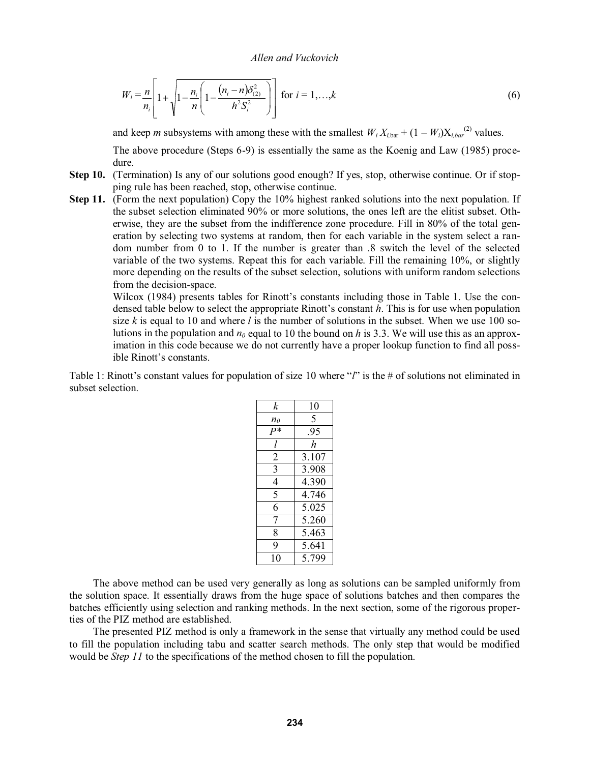$$
W_i = \frac{n}{n_i} \left[ 1 + \sqrt{1 - \frac{n_i}{n} \left( 1 - \frac{(n_i - n)\delta_{(2)}^2}{h^2 S_i^2} \right)} \right] \text{ for } i = 1, ..., k
$$
 (6)

and keep *m* subsystems with among these with the smallest  $W_i X_{i, \text{bar}} + (1 - W_i) X_{i, \text{bar}}^{(2)}$  values.

 The above procedure (Steps 6-9) is essentially the same as the Koenig and Law (1985) procedure.

- **Step 10.** (Termination) Is any of our solutions good enough? If yes, stop, otherwise continue. Or if stopping rule has been reached, stop, otherwise continue.
- **Step 11.** (Form the next population) Copy the 10% highest ranked solutions into the next population. If the subset selection eliminated 90% or more solutions, the ones left are the elitist subset. Otherwise, they are the subset from the indifference zone procedure. Fill in 80% of the total generation by selecting two systems at random, then for each variable in the system select a random number from 0 to 1. If the number is greater than .8 switch the level of the selected variable of the two systems. Repeat this for each variable. Fill the remaining 10%, or slightly more depending on the results of the subset selection, solutions with uniform random selections from the decision-space.

Wilcox (1984) presents tables for Rinott's constants including those in Table 1. Use the condensed table below to select the appropriate Rinott's constant h. This is for use when population size  $k$  is equal to 10 and where  $l$  is the number of solutions in the subset. When we use 100 solutions in the population and  $n_0$  equal to 10 the bound on *h* is 3.3. We will use this as an approximation in this code because we do not currently have a proper lookup function to find all poss ible Rinott's constants.

Table 1: Rinott's constant values for population of size 10 where "l" is the # of solutions not eliminated in subset selection.

| k     | 10    |  |
|-------|-------|--|
| $n_0$ | 5     |  |
| $P*$  | .95   |  |
| l     | h     |  |
| 2     | 3.107 |  |
| 3     | 3.908 |  |
| 4     | 4.390 |  |
| 5     | 4.746 |  |
| 6     | 5.025 |  |
| 7     | 5.260 |  |
| 8     | 5.463 |  |
| 9     | 5.641 |  |
| 10    | 5.799 |  |

 The above method can be used very generally as long as solutions can be sampled uniformly from the solution space. It essentially draws from the huge space of solutions batches and then compares the batches efficiently using selection and ranking methods. In the next section, some of the rigorous properties of the PIZ method are established.

 The presented PIZ method is only a framework in the sense that virtually any method could be used to fill the population including tabu and scatter search methods. The only step that would be modified would be *Step 11* to the specifications of the method chosen to fill the population.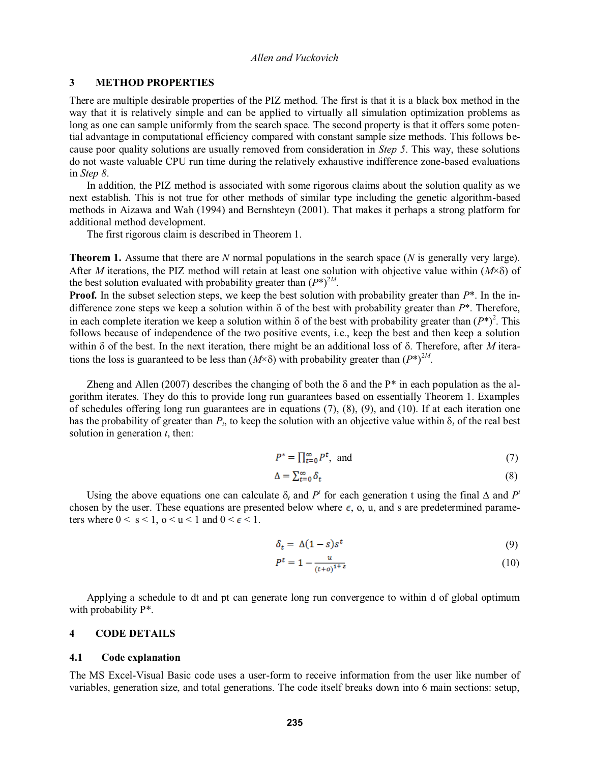### **3 METHOD PROPERTIES**

There are multiple desirable properties of the PIZ method. The first is that it is a black box method in the way that it is relatively simple and can be applied to virtually all simulation optimization problems as long as one can sample uniformly from the search space. The second property is that it offers some potential advantage in computational efficiency compared with constant sample size methods. This follows because poor quality solutions are usually removed from consideration in *Step 5*. This way, these solutions do not waste valuable CPU run time during the relatively exhaustive indifference zone-based evaluations in *Step 8*.

 In addition, the PIZ method is associated with some rigorous claims about the solution quality as we next establish. This is not true for other methods of similar type including the genetic algorithm-based methods in Aizawa and Wah (1994) and Bernshteyn (2001). That makes it perhaps a strong platform for additional method development.

The first rigorous claim is described in Theorem 1.

**Theorem 1.** Assume that there are *N* normal populations in the search space (*N* is generally very large). After *M* iterations, the PIZ method will retain at least one solution with objective value within  $(M \times \delta)$  of the best solution evaluated with probability greater than  $(P^*)^{2M}$ .

**Proof.** In the subset selection steps, we keep the best solution with probability greater than  $P^*$ . In the indifference zone steps we keep a solution within  $\delta$  of the best with probability greater than  $P^*$ . Therefore, in each complete iteration we keep a solution within  $\delta$  of the best with probability greater than  $(P^*)^2$ . This follows because of independence of the two positive events, i.e., keep the best and then keep a solution within  $\delta$  of the best. In the next iteration, there might be an additional loss of  $\delta$ . Therefore, after *M* iterations the loss is guaranteed to be less than  $(M\times\delta)$  with probability greater than  $(P^*)^{2M}$ .

Zheng and Allen (2007) describes the changing of both the  $\delta$  and the P<sup>\*</sup> in each population as the algorithm iterates. They do this to provide long run guarantees based on essentially Theorem 1. Examples of schedules offering long run guarantees are in equations (7), (8), (9), and (10). If at each iteration one has the probability of greater than  $P_t$ , to keep the solution with an objective value within  $\delta_t$  of the real best solution in generation *t*, then:

$$
P^* = \prod_{t=0}^{\infty} P^t, \text{ and } \tag{7}
$$

$$
\Delta = \sum_{t=0}^{\infty} \delta_t \tag{8}
$$

Using the above equations one can calculate  $\delta_t$  and  $P'$  for each generation t using the final  $\Delta$  and  $P'$ chosen by the user. These equations are presented below where  $\epsilon$ , o, u, and s are predetermined parameters where  $0 \le s \le 1$ ,  $0 \le u \le 1$  and  $0 \le \epsilon \le 1$ .

$$
\delta_t = \Delta(1-s)s^t \tag{9}
$$

$$
P^t = 1 - \frac{u}{(t+o)^{1+\varepsilon}}\tag{10}
$$

Applying a schedule to dt and pt can generate long run convergence to within d of global optimum with probability P\*.

#### **4 CODE DETAILS**

### **4.1 Code explanation**

The MS Excel-Visual Basic code uses a user-form to receive information from the user like number of variables, generation size, and total generations. The code itself breaks down into 6 main sections: setup,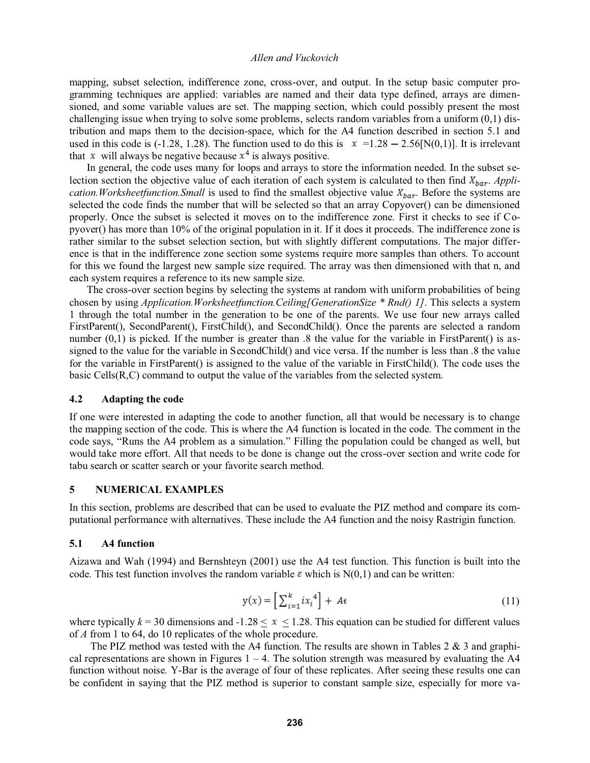mapping, subset selection, indifference zone, cross-over, and output. In the setup basic computer programming techniques are applied: variables are named and their data type defined, arrays are dimensioned, and some variable values are set. The mapping section, which could possibly present the most challenging issue when trying to solve some problems, selects random variables from a uniform (0,1) distribution and maps them to the decision-space, which for the A4 function described in section 5.1 and used in this code is (-1.28, 1.28). The function used to do this is  $x =1.28 - 2.56$ [N(0,1)]. It is irrelevant that x will always be negative because  $x<sup>4</sup>$  is always positive.

In general, the code uses many for loops and arrays to store the information needed. In the subset selection section the objective value of each iteration of each system is calculated to then find  $X_{bar}$ . *Application.Worksheetfunction.Small* is used to find the smallest objective value  $X_{bar}$ . Before the systems are selected the code finds the number that will be selected so that an array Copyover() can be dimensioned properly. Once the subset is selected it moves on to the indifference zone. First it checks to see if Copyover() has more than 10% of the original population in it. If it does it proceeds. The indifference zone is rather similar to the subset selection section, but with slightly different computations. The major difference is that in the indifference zone section some systems require more samples than others. To account for this we found the largest new sample size required. The array was then dimensioned with that n, and each system requires a reference to its new sample size.

The cross-over section begins by selecting the systems at random with uniform probabilities of being chosen by using *Application.Worksheetfunction.Ceiling[GenerationSize \* Rnd() 1]*. This selects a system 1 through the total number in the generation to be one of the parents. We use four new arrays called FirstParent(), SecondParent(), FirstChild(), and SecondChild(). Once the parents are selected a random number  $(0,1)$  is picked. If the number is greater than .8 the value for the variable in FirstParent() is assigned to the value for the variable in SecondChild() and vice versa. If the number is less than .8 the value for the variable in FirstParent() is assigned to the value of the variable in FirstChild(). The code uses the basic Cells(R,C) command to output the value of the variables from the selected system.

#### **4.2 Adapting the code**

If one were interested in adapting the code to another function, all that would be necessary is to change the mapping section of the code. This is where the A4 function is located in the code. The comment in the code says, "Runs the A4 problem as a simulation." Filling the population could be changed as well, but would take more effort. All that needs to be done is change out the cross-over section and write code for tabu search or scatter search or your favorite search method.

## **5 NUMERICAL EXAMPLES**

In this section, problems are described that can be used to evaluate the PIZ method and compare its computational performance with alternatives. These include the A4 function and the noisy Rastrigin function.

#### **5.1 A4 function**

Aizawa and Wah (1994) and Bernshteyn (2001) use the A4 test function. This function is built into the code. This test function involves the random variable  $\varepsilon$  which is N(0,1) and can be written:

$$
y(x) = \left[\sum_{i=1}^{k} ix_i^4\right] + A\epsilon
$$
 (11)

where typically  $k = 30$  dimensions and  $-1.28 < x < 1.28$ . This equation can be studied for different values of *A* from 1 to 64, do 10 replicates of the whole procedure.

The PIZ method was tested with the A4 function. The results are shown in Tables  $2 \& 3$  and graphical representations are shown in Figures  $1 - 4$ . The solution strength was measured by evaluating the A4 function without noise. Y-Bar is the average of four of these replicates. After seeing these results one can be confident in saying that the PIZ method is superior to constant sample size, especially for more va-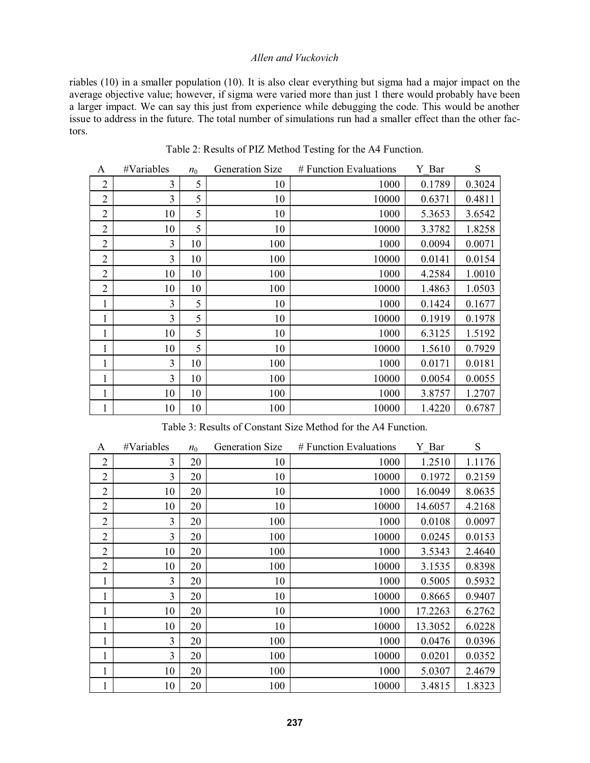riables (10) in a smaller population (10). It is also clear everything but sigma had a major impact on the average objective value; however, if sigma were varied more than just 1 there would probably have been a larger impact. We can say this just from experience while debugging the code. This would be another issue to address in the future. The total number of simulations run had a smaller effect than the other factors.

| A              | #Variables | $n_0$ | <b>Generation Size</b> | $#$ Function Evaluations | Y Bar  | S      |
|----------------|------------|-------|------------------------|--------------------------|--------|--------|
| $\overline{2}$ | 3          | 5     | 10                     | 1000                     | 0.1789 | 0.3024 |
| $\overline{2}$ | 3          | 5     | 10                     | 10000                    | 0.6371 | 0.4811 |
| $\overline{2}$ | 10         | 5     | 10                     | 1000                     | 5.3653 | 3.6542 |
| $\overline{2}$ | 10         | 5     | 10                     | 10000                    | 3.3782 | 1.8258 |
| $\overline{2}$ | 3          | 10    | 100                    | 1000                     | 0.0094 | 0.0071 |
| $\overline{2}$ | 3          | 10    | 100                    | 10000                    | 0.0141 | 0.0154 |
| $\overline{2}$ | 10         | 10    | 100                    | 1000                     | 4.2584 | 1.0010 |
| $\overline{2}$ | 10         | 10    | 100                    | 10000                    | 1.4863 | 1.0503 |
| 1              | 3          | 5     | 10                     | 1000                     | 0.1424 | 0.1677 |
| 1              | 3          | 5     | 10                     | 10000                    | 0.1919 | 0.1978 |
| 1              | 10         | 5     | 10                     | 1000                     | 6.3125 | 1.5192 |
| 1              | 10         | 5     | 10                     | 10000                    | 1.5610 | 0.7929 |
| 1              | 3          | 10    | 100                    | 1000                     | 0.0171 | 0.0181 |
| 1              | 3          | 10    | 100                    | 10000                    | 0.0054 | 0.0055 |
| 1              | 10         | 10    | 100                    | 1000                     | 3.8757 | 1.2707 |
| $\mathbf{1}$   | 10         | 10    | 100                    | 10000                    | 1.4220 | 0.6787 |

Table 2: Results of PIZ Method Testing for the A4 Function.

Table 3: Results of Constant Size Method for the A4 Function.

| A              | #Variables | $n_0$ | Generation Size | # Function Evaluations | Y Bar   | S      |
|----------------|------------|-------|-----------------|------------------------|---------|--------|
| $\overline{2}$ | 3          | 20    | 10              | 1000                   | 1.2510  | 1.1176 |
| 2              | 3          | 20    | 10              | 10000                  | 0.1972  | 0.2159 |
| $\overline{2}$ | 10         | 20    | 10              | 1000                   | 16.0049 | 8.0635 |
| 2              | 10         | 20    | 10              | 10000                  | 14.6057 | 4.2168 |
| 2              | 3          | 20    | 100             | 1000                   | 0.0108  | 0.0097 |
| $\overline{2}$ | 3          | 20    | 100             | 10000                  | 0.0245  | 0.0153 |
| $\overline{2}$ | 10         | 20    | 100             | 1000                   | 3.5343  | 2.4640 |
| $\overline{2}$ | 10         | 20    | 100             | 10000                  | 3.1535  | 0.8398 |
| 1              | 3          | 20    | 10              | 1000                   | 0.5005  | 0.5932 |
| $\mathbf{1}$   | 3          | 20    | 10              | 10000                  | 0.8665  | 0.9407 |
| 1              | 10         | 20    | 10              | 1000                   | 17.2263 | 6.2762 |
| 1              | 10         | 20    | 10              | 10000                  | 13.3052 | 6.0228 |
| 1              | 3          | 20    | 100             | 1000                   | 0.0476  | 0.0396 |
| 1              | 3          | 20    | 100             | 10000                  | 0.0201  | 0.0352 |
| $\mathbf{1}$   | 10         | 20    | 100             | 1000                   | 5.0307  | 2.4679 |
| 1              | 10         | 20    | 100             | 10000                  | 3.4815  | 1.8323 |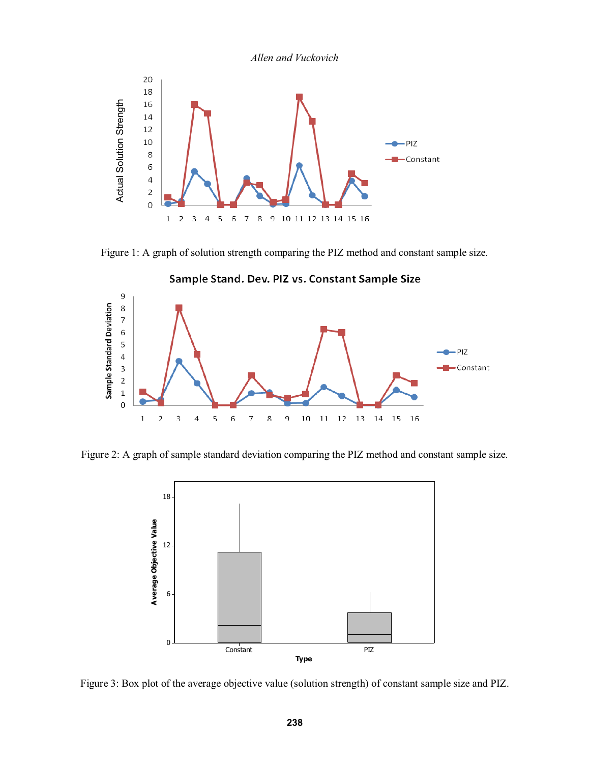

Figure 1: A graph of solution strength comparing the PIZ method and constant sample size.



Figure 2: A graph of sample standard deviation comparing the PIZ method and constant sample size.

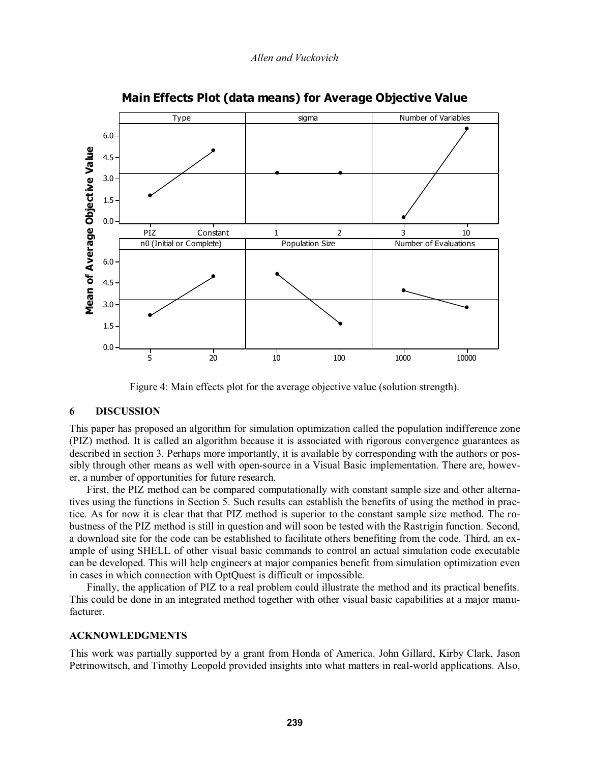

**Main Effects Plot (data means) for Average Objective Value**

Figure 4: Main effects plot for the average objective value (solution strength).

## **6 DISCUSSION**

This paper has proposed an algorithm for simulation optimization called the population indifference zone (PIZ) method. It is called an algorithm because it is associated with rigorous convergence guarantees as described in section 3. Perhaps more importantly, it is available by corresponding with the authors or possibly through other means as well with open-source in a Visual Basic implementation. There are, however, a number of opportunities for future research.

First, the PIZ method can be compared computationally with constant sample size and other alternatives using the functions in Section 5. Such results can establish the benefits of using the method in practice. As for now it is clear that that PIZ method is superior to the constant sample size method. The robustness of the PIZ method is still in question and will soon be tested with the Rastrigin function. Second, a download site for the code can be established to facilitate others benefiting from the code. Third, an example of using SHELL of other visual basic commands to control an actual simulation code executable can be developed. This will help engineers at major companies benefit from simulation optimization even in cases in which connection with OptQuest is difficult or impossible.

Finally, the application of PIZ to a real problem could illustrate the method and its practical benefits. This could be done in an integrated method together with other visual basic capabilities at a major manufacturer.

## **ACKNOWLEDGMENTS**

This work was partially supported by a grant from Honda of America. John Gillard, Kirby Clark, Jason Petrinowitsch, and Timothy Leopold provided insights into what matters in real-world applications. Also,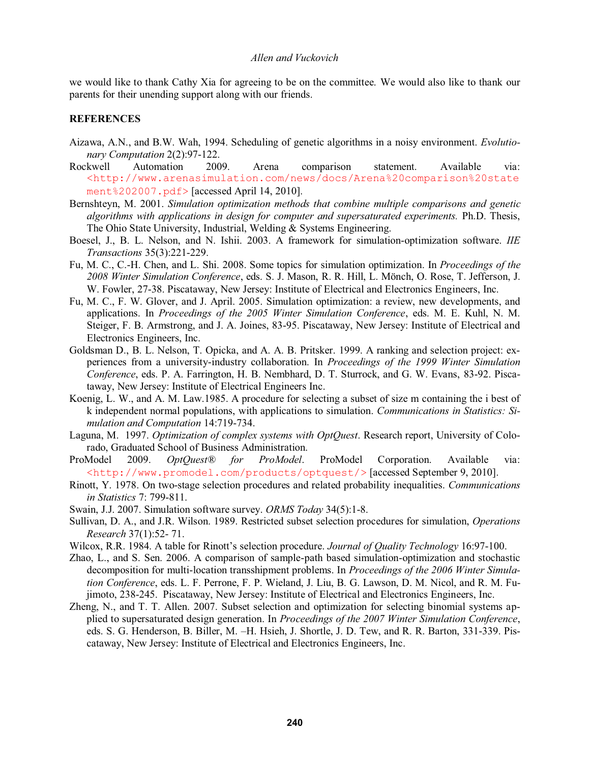we would like to thank Cathy Xia for agreeing to be on the committee. We would also like to thank our parents for their unending support along with our friends.

# **REFERENCES**

- Aizawa, A.N., and B.W. Wah, 1994. Scheduling of genetic algorithms in a noisy environment. *Evolutionary Computation* 2(2):97-122.
- Rockwell Automation 2009. Arena comparison statement. Available via: <http://www.arenasimulation.com/news/docs/Arena%20comparison%20state ment%202007.pdf> [accessed April 14, 2010].
- Bernshteyn, M. 2001. *Simulation optimization methods that combine multiple comparisons and genetic algorithms with applications in design for computer and supersaturated experiments.* Ph.D. Thesis, The Ohio State University, Industrial, Welding & Systems Engineering.
- Boesel, J., B. L. Nelson, and N. Ishii. 2003. A framework for simulation-optimization software. *IIE Transactions* 35(3):221-229.
- Fu, M. C., C.-H. Chen, and L. Shi. 2008. Some topics for simulation optimization. In *Proceedings of the 2008 Winter Simulation Conference*, eds. S. J. Mason, R. R. Hill, L. Mönch, O. Rose, T. Jefferson, J. W. Fowler, 27-38. Piscataway, New Jersey: Institute of Electrical and Electronics Engineers, Inc.
- Fu, M. C., F. W. Glover, and J. April. 2005. Simulation optimization: a review, new developments, and applications. In *Proceedings of the 2005 Winter Simulation Conference*, eds. M. E. Kuhl, N. M. Steiger, F. B. Armstrong, and J. A. Joines, 83-95. Piscataway, New Jersey: Institute of Electrical and Electronics Engineers, Inc.
- Goldsman D., B. L. Nelson, T. Opicka, and A. A. B. Pritsker. 1999. A ranking and selection project: experiences from a university-industry collaboration. In *Proceedings of the 1999 Winter Simulation Conference*, eds. P. A. Farrington, H. B. Nembhard, D. T. Sturrock, and G. W. Evans, 83-92. Piscataway, New Jersey: Institute of Electrical Engineers Inc.
- Koenig, L. W., and A. M. Law.1985. A procedure for selecting a subset of size m containing the i best of k independent normal populations, with applications to simulation. *Communications in Statistics: Simulation and Computation* 14:719-734.
- Laguna, M. 1997. *Optimization of complex systems with OptQuest*. Research report, University of Colorado, Graduated School of Business Administration.
- ProModel 2009. *OptQuest® for ProModel*. ProModel Corporation. Available via: <http://www.promodel.com/products/optquest/> [accessed September 9, 2010].
- Rinott, Y. 1978. On two-stage selection procedures and related probability inequalities. *Communications in Statistics* 7: 799-811.
- Swain, J.J. 2007. Simulation software survey. *ORMS Today* 34(5):1-8.
- Sullivan, D. A., and J.R. Wilson. 1989. Restricted subset selection procedures for simulation, *Operations Research* 37(1):52- 71.
- Wilcox, R.R. 1984. A table for Rinott's selection procedure. *Journal of Quality Technology* 16:97-100.
- Zhao, L., and S. Sen. 2006. A comparison of sample-path based simulation-optimization and stochastic decomposition for multi-location transshipment problems. In *Proceedings of the 2006 Winter Simulation Conference*, eds. L. F. Perrone, F. P. Wieland, J. Liu, B. G. Lawson, D. M. Nicol, and R. M. Fujimoto, 238-245. Piscataway, New Jersey: Institute of Electrical and Electronics Engineers, Inc.
- Zheng, N., and T. T. Allen. 2007. Subset selection and optimization for selecting binomial systems applied to supersaturated design generation. In *Proceedings of the 2007 Winter Simulation Conference*, eds. S. G. Henderson, B. Biller, M. -H. Hsieh, J. Shortle, J. D. Tew, and R. R. Barton, 331-339. Piscataway, New Jersey: Institute of Electrical and Electronics Engineers, Inc.